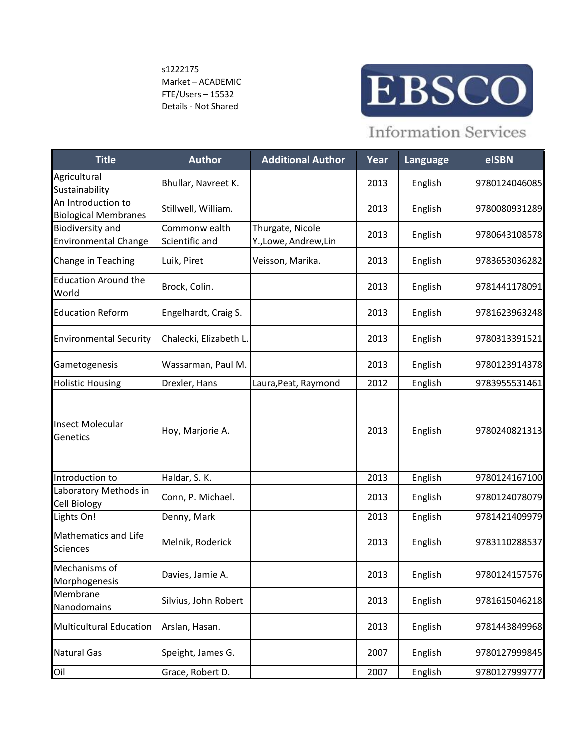s1222175 Market – ACADEMIC FTE/Users – 15532 Details - Not Shared



## **Information Services**

| <b>Title</b>                                      | <b>Author</b>                   | <b>Additional Author</b>                | Year | Language | eISBN         |
|---------------------------------------------------|---------------------------------|-----------------------------------------|------|----------|---------------|
| Agricultural<br>Sustainability                    | Bhullar, Navreet K.             |                                         | 2013 | English  | 9780124046085 |
| An Introduction to<br><b>Biological Membranes</b> | Stillwell, William.             |                                         | 2013 | English  | 9780080931289 |
| Biodiversity and<br><b>Environmental Change</b>   | Commonw ealth<br>Scientific and | Thurgate, Nicole<br>Y.,Lowe, Andrew,Lin | 2013 | English  | 9780643108578 |
| Change in Teaching                                | Luik, Piret                     | Veisson, Marika.                        | 2013 | English  | 9783653036282 |
| <b>Education Around the</b><br>World              | Brock, Colin.                   |                                         | 2013 | English  | 9781441178091 |
| <b>Education Reform</b>                           | Engelhardt, Craig S.            |                                         | 2013 | English  | 9781623963248 |
| <b>Environmental Security</b>                     | Chalecki, Elizabeth L.          |                                         | 2013 | English  | 9780313391521 |
| Gametogenesis                                     | Wassarman, Paul M.              |                                         | 2013 | English  | 9780123914378 |
| <b>Holistic Housing</b>                           | Drexler, Hans                   | Laura, Peat, Raymond                    | 2012 | English  | 9783955531461 |
| <b>Insect Molecular</b><br>Genetics               | Hoy, Marjorie A.                |                                         | 2013 | English  | 9780240821313 |
| Introduction to                                   | Haldar, S. K.                   |                                         | 2013 | English  | 9780124167100 |
| Laboratory Methods in<br>Cell Biology             | Conn, P. Michael.               |                                         | 2013 | English  | 9780124078079 |
| Lights On!                                        | Denny, Mark                     |                                         | 2013 | English  | 9781421409979 |
| <b>Mathematics and Life</b><br><b>Sciences</b>    | Melnik, Roderick                |                                         | 2013 | English  | 9783110288537 |
| Mechanisms of<br>Morphogenesis                    | Davies, Jamie A.                |                                         | 2013 | English  | 9780124157576 |
| Membrane<br>Nanodomains                           | Silvius, John Robert            |                                         | 2013 | English  | 9781615046218 |
| <b>Multicultural Education</b>                    | Arslan, Hasan.                  |                                         | 2013 | English  | 9781443849968 |
| Natural Gas                                       | Speight, James G.               |                                         | 2007 | English  | 9780127999845 |
| Oil                                               | Grace, Robert D.                |                                         | 2007 | English  | 9780127999777 |